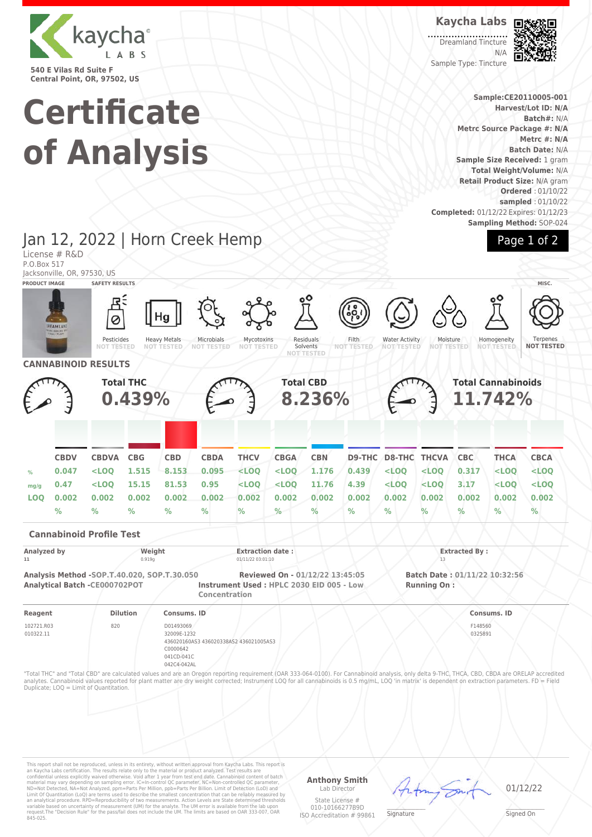

**Certificate of Analysis**

### **Kaycha Labs**

**Dreamland Tincture** N/A Sample Type: Tincture



**Sample:CE20110005-001 Harvest/Lot ID: N/A Batch#:** N/A **Metrc Source Package #: N/A Metrc #: N/A Batch Date:** N/A **Sample Size Received:** 1 gram **Total Weight/Volume:** N/A **Retail Product Size:** N/A gram **Ordered** : 01/10/22 **sampled** : 01/10/22 **Completed:** 01/12/22 Expires: 01/12/23 **Sampling Method:** SOP-024

Page 1 of 2

### License # R&D P.O.Box 517 Jacksonville, OR, 97530, US **PRODUCT IMAGE SAFETY RESULTS MISC.** Pesticides<br>NOT TESTE **NOT TESTED** Heavy Metals **NOT TESTED** Microbials **NOT TESTED** Mycotoxins **NOT TESTED** Residuals Solvents **NOT TESTED** Filth **NOT TESTED** Water Activity **NOT TESTED** Moisture<br>NOT TEST **NOT TESTED Homogeneity NOT TESTED** Ternenes **NOT TESTED CANNABINOID RESULTS Total THC 0.439% Total CBD 8.236% Total Cannabinoids 11.742% CBDV CBDVA CBG CBD CBDA THCV CBGA CBN D9-THC D8-THC THCVA CBC THCA CBCA % 0.047 <LOQ 1.515 8.153 0.095 <LOQ <LOQ 1.176 0.439 <LOQ <LOQ 0.317 <LOQ <LOQ mg/g 0.47 <LOQ 15.15 81.53 0.95 <LOQ <LOQ 11.76 4.39 <LOQ <LOQ 3.17 <LOQ <LOQ LOQ 0.002 0.002 0.002 0.002 0.002 0.002 0.002 0.002 0.002 0.002 0.002 0.002 0.002 0.002 % % % % % % % % % % % % % % Cannabinoid Profile Test** Analyzed by **Weight Extracted By : Extracted By : Extracted By : Extracted By : Extracted By : Extracted By** : **11** 0.919g 01/11/22 03:01:10 13 **Analysis Method -SOP.T.40.020, SOP.T.30.050 Reviewed On - 01/12/22 13:45:05 Batch Date : 01/11/22 10:32:56 Analytical Batch -CE000702POT Instrument Used : HPLC 2030 EID 005 - Low Concentration Running On : Reagent Dilution Consums. ID Consums. ID** 102721.R03 010322.11 820 D01493069 32009E-1232 436020160AS3 436020338AS2 436021005AS3 C0000642 041CD-041C 042C4-042AL F148560 0325891 "Total THC" and "Total CBD" are calculated values and are an Oregon reporting requirement (OAR 333-064-0100). For Cannabinoid analysis, only delta 9-THC, THCA, CBD, CBDA are ORELAP accredited<br>analytes. Cannabinoid values r Duplicate; LOQ = Limit of Quantitation.

This report shall not be reproduced, unless in its entirety, without written approval from Kaycha Labs. This report is<br>an Kaycha Labs certification. The results relate only to the material or product analyzed. Test result

#### **Anthony Smith** Lab Director

State License # 010-10166277B9D ISO Accreditation # 99861

 $\mathscr{L}\setminus\mathscr{L}$ **Signature** 

01/12/22

Signed On

# Jan 12, 2022 | Horn Creek Hemp